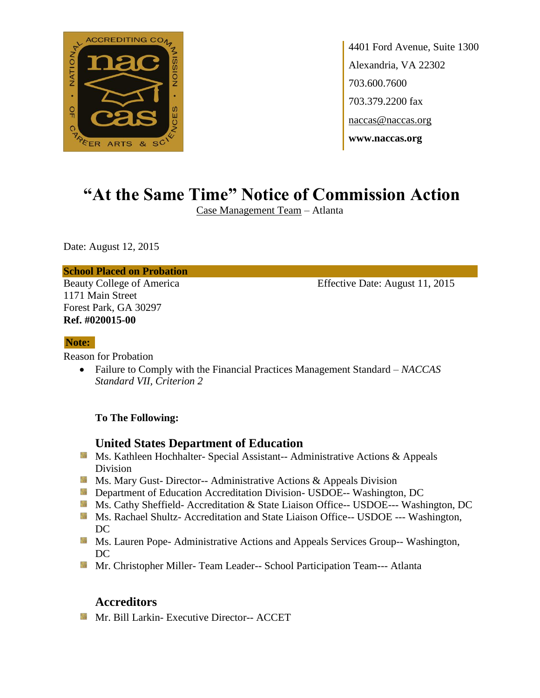

4401 Ford Avenue, Suite 1300 Alexandria, VA 22302 703.600.7600 703.379.2200 fax naccas@naccas.org **www.naccas.org**

# **"At the Same Time" Notice of Commission Action**

Case Management Team – Atlanta

Date: August 12, 2015

#### **School Placed on Probation**

1171 Main Street Forest Park, GA 30297 **Ref. #020015-00**

Beauty College of America Effective Date: August 11, 2015

#### **Note:**

Reason for Probation

 Failure to Comply with the Financial Practices Management Standard – *NACCAS Standard VII, Criterion 2*

#### **To The Following:**

## **United States Department of Education**

- Ms. Kathleen Hochhalter- Special Assistant-- Administrative Actions & Appeals Division
- **Ms. Mary Gust- Director-- Administrative Actions & Appeals Division**
- **Department of Education Accreditation Division- USDOE-- Washington, DC**
- Ms. Cathy Sheffield- Accreditation & State Liaison Office-- USDOE--- Washington, DC
- Ms. Rachael Shultz- Accreditation and State Liaison Office-- USDOE --- Washington, DC
- **MS. Lauren Pope- Administrative Actions and Appeals Services Group-- Washington,** DC
- **Mr.** Christopher Miller-Team Leader-- School Participation Team--- Atlanta

## **Accreditors**

**Mr. Bill Larkin- Executive Director-- ACCET**